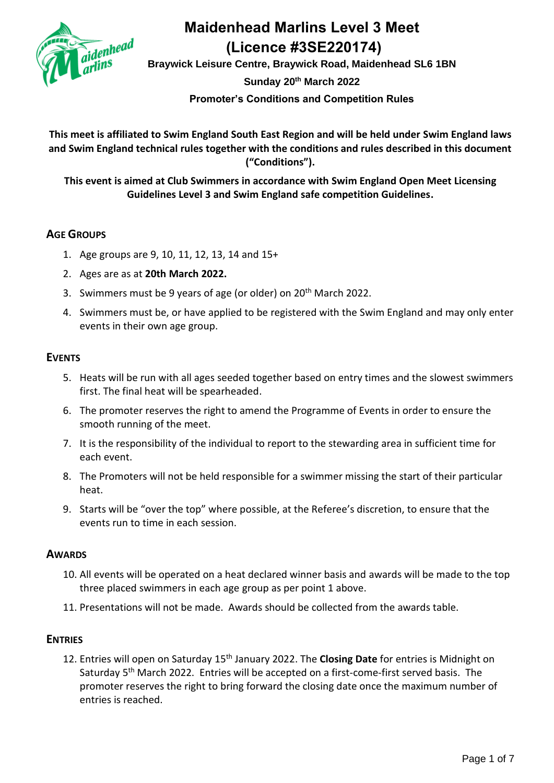

**Braywick Leisure Centre, Braywick Road, Maidenhead SL6 1BN Sunday 20th March 2022 Promoter's Conditions and Competition Rules**

**This meet is affiliated to Swim England South East Region and will be held under Swim England laws and Swim England technical rules together with the conditions and rules described in this document ("Conditions").**

**This event is aimed at Club Swimmers in accordance with Swim England Open Meet Licensing Guidelines Level 3 and Swim England safe competition Guidelines.**

### **AGE GROUPS**

- 1. Age groups are 9, 10, 11, 12, 13, 14 and 15+
- 2. Ages are as at **20th March 2022.**
- 3. Swimmers must be 9 years of age (or older) on 20<sup>th</sup> March 2022.
- 4. Swimmers must be, or have applied to be registered with the Swim England and may only enter events in their own age group.

### **EVENTS**

- 5. Heats will be run with all ages seeded together based on entry times and the slowest swimmers first. The final heat will be spearheaded.
- 6. The promoter reserves the right to amend the Programme of Events in order to ensure the smooth running of the meet.
- 7. It is the responsibility of the individual to report to the stewarding area in sufficient time for each event.
- 8. The Promoters will not be held responsible for a swimmer missing the start of their particular heat.
- 9. Starts will be "over the top" where possible, at the Referee's discretion, to ensure that the events run to time in each session.

### **AWARDS**

- 10. All events will be operated on a heat declared winner basis and awards will be made to the top three placed swimmers in each age group as per point 1 above.
- 11. Presentations will not be made. Awards should be collected from the awards table.

### **ENTRIES**

12. Entries will open on Saturday 15th January 2022. The **Closing Date** for entries is Midnight on Saturday 5<sup>th</sup> March 2022. Entries will be accepted on a first-come-first served basis. The promoter reserves the right to bring forward the closing date once the maximum number of entries is reached.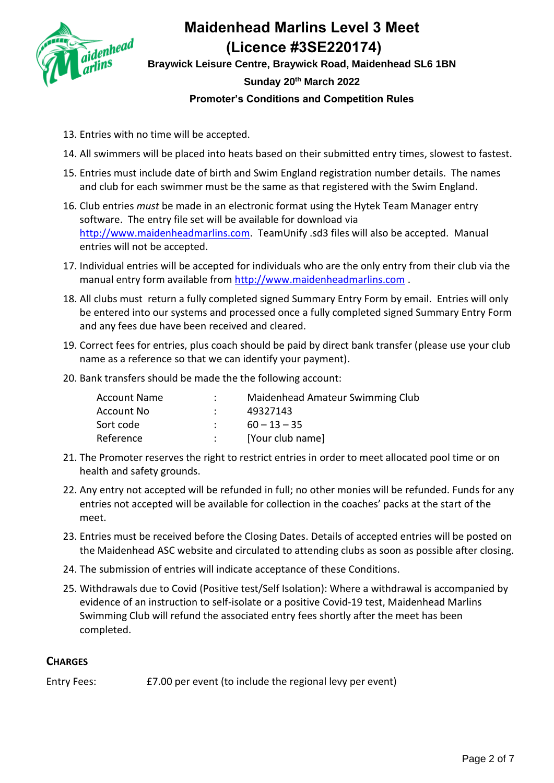

**Braywick Leisure Centre, Braywick Road, Maidenhead SL6 1BN Sunday 20th March 2022 Promoter's Conditions and Competition Rules**

- 13. Entries with no time will be accepted.
- 14. All swimmers will be placed into heats based on their submitted entry times, slowest to fastest.
- 15. Entries must include date of birth and Swim England registration number details. The names and club for each swimmer must be the same as that registered with the Swim England.
- 16. Club entries *must* be made in an electronic format using the Hytek Team Manager entry software. The entry file set will be available for download via [http://www.maidenheadmarlins.com.](http://www.maidenheadmarlins.com/) TeamUnify .sd3 files will also be accepted. Manual entries will not be accepted.
- 17. Individual entries will be accepted for individuals who are the only entry from their club via the manual entry form available from [http://www.maidenheadmarlins.com](http://www.maidenheadmarlins.com/) .
- 18. All clubs must return a fully completed signed Summary Entry Form by email. Entries will only be entered into our systems and processed once a fully completed signed Summary Entry Form and any fees due have been received and cleared.
- 19. Correct fees for entries, plus coach should be paid by direct bank transfer (please use your club name as a reference so that we can identify your payment).
- 20. Bank transfers should be made the the following account:

| <b>Account Name</b> | Maidenhead Amateur Swimming Club |
|---------------------|----------------------------------|
| Account No          | 49327143                         |
| Sort code           | $60 - 13 - 35$                   |
| Reference           | [Your club name]                 |

- 21. The Promoter reserves the right to restrict entries in order to meet allocated pool time or on health and safety grounds.
- 22. Any entry not accepted will be refunded in full; no other monies will be refunded. Funds for any entries not accepted will be available for collection in the coaches' packs at the start of the meet.
- 23. Entries must be received before the Closing Dates. Details of accepted entries will be posted on the Maidenhead ASC website and circulated to attending clubs as soon as possible after closing.
- 24. The submission of entries will indicate acceptance of these Conditions.
- 25. Withdrawals due to Covid (Positive test/Self Isolation): Where a withdrawal is accompanied by evidence of an instruction to self-isolate or a positive Covid-19 test, Maidenhead Marlins Swimming Club will refund the associated entry fees shortly after the meet has been completed.

### **CHARGES**

Entry Fees: £7.00 per event (to include the regional levy per event)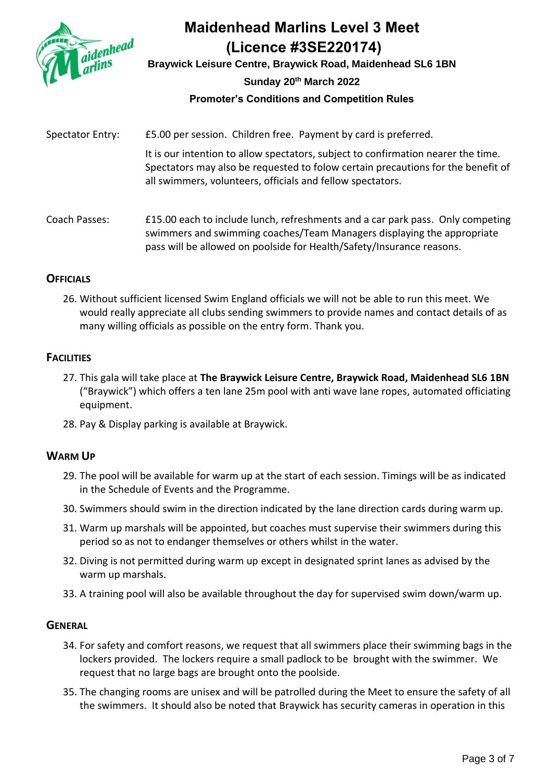

**Braywick Leisure Centre, Braywick Road, Maidenhead SL6 1BN Sunday 20th March 2022**

### **Promoter's Conditions and Competition Rules**

Spectator Entry: £5.00 per session. Children free. Payment by card is preferred.

It is our intention to allow spectators, subject to confirmation nearer the time. Spectators may also be requested to folow certain precautions for the benefit of all swimmers, volunteers, officials and fellow spectators.

Coach Passes: £15.00 each to include lunch, refreshments and a car park pass. Only competing swimmers and swimming coaches/Team Managers displaying the appropriate pass will be allowed on poolside for Health/Safety/Insurance reasons.

### **OFFICIALS**

26. Without sufficient licensed Swim England officials we will not be able to run this meet. We would really appreciate all clubs sending swimmers to provide names and contact details of as many willing officials as possible on the entry form. Thank you.

### **FACILITIES**

- 27. This gala will take place at **The Braywick Leisure Centre, Braywick Road, Maidenhead SL6 1BN** ("Braywick") which offers a ten lane 25m pool with anti wave lane ropes, automated officiating equipment.
- 28. Pay & Display parking is available at Braywick.

#### **WARM UP**

- 29. The pool will be available for warm up at the start of each session. Timings will be as indicated in the Schedule of Events and the Programme.
- 30. Swimmers should swim in the direction indicated by the lane direction cards during warm up.
- 31. Warm up marshals will be appointed, but coaches must supervise their swimmers during this period so as not to endanger themselves or others whilst in the water.
- 32. Diving is not permitted during warm up except in designated sprint lanes as advised by the warm up marshals.
- 33. A training pool will also be available throughout the day for supervised swim down/warm up.

#### **GENERAL**

- 34. For safety and comfort reasons, we request that all swimmers place their swimming bags in the lockers provided. The lockers require a small padlock to be brought with the swimmer. We request that no large bags are brought onto the poolside.
- 35. The changing rooms are unisex and will be patrolled during the Meet to ensure the safety of all the swimmers. It should also be noted that Braywick has security cameras in operation in this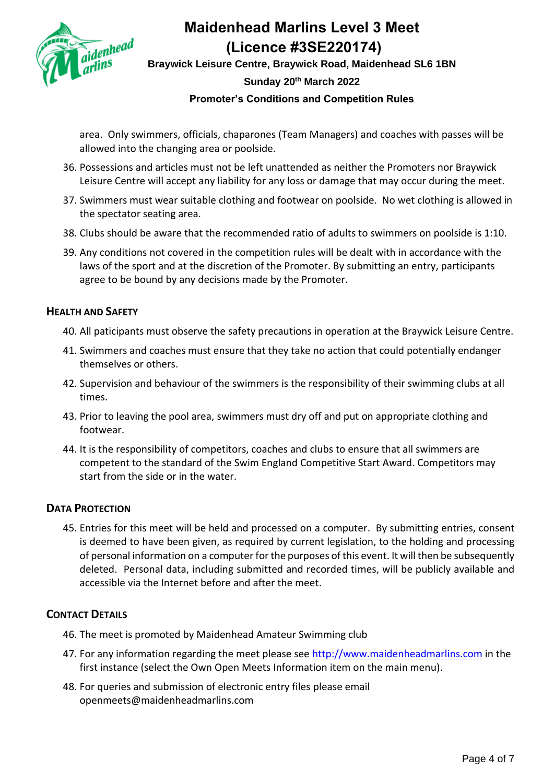

**Braywick Leisure Centre, Braywick Road, Maidenhead SL6 1BN Sunday 20th March 2022 Promoter's Conditions and Competition Rules**

area. Only swimmers, officials, chaparones (Team Managers) and coaches with passes will be allowed into the changing area or poolside.

- 36. Possessions and articles must not be left unattended as neither the Promoters nor Braywick Leisure Centre will accept any liability for any loss or damage that may occur during the meet.
- 37. Swimmers must wear suitable clothing and footwear on poolside. No wet clothing is allowed in the spectator seating area.
- 38. Clubs should be aware that the recommended ratio of adults to swimmers on poolside is 1:10.
- 39. Any conditions not covered in the competition rules will be dealt with in accordance with the laws of the sport and at the discretion of the Promoter. By submitting an entry, participants agree to be bound by any decisions made by the Promoter.

### **HEALTH AND SAFETY**

- 40. All paticipants must observe the safety precautions in operation at the Braywick Leisure Centre.
- 41. Swimmers and coaches must ensure that they take no action that could potentially endanger themselves or others.
- 42. Supervision and behaviour of the swimmers is the responsibility of their swimming clubs at all times.
- 43. Prior to leaving the pool area, swimmers must dry off and put on appropriate clothing and footwear.
- 44. It is the responsibility of competitors, coaches and clubs to ensure that all swimmers are competent to the standard of the Swim England Competitive Start Award. Competitors may start from the side or in the water.

### **DATA PROTECTION**

45. Entries for this meet will be held and processed on a computer. By submitting entries, consent is deemed to have been given, as required by current legislation, to the holding and processing of personal information on a computer for the purposes of this event. It will then be subsequently deleted. Personal data, including submitted and recorded times, will be publicly available and accessible via the Internet before and after the meet.

### **CONTACT DETAILS**

- 46. The meet is promoted by Maidenhead Amateur Swimming club
- 47. For any information regarding the meet please see [http://www.maidenheadmarlins.com](http://www.maidenheadmarlins.com/) in the first instance (select the Own Open Meets Information item on the main menu).
- 48. For queries and submission of electronic entry files please email openmeets@maidenheadmarlins.com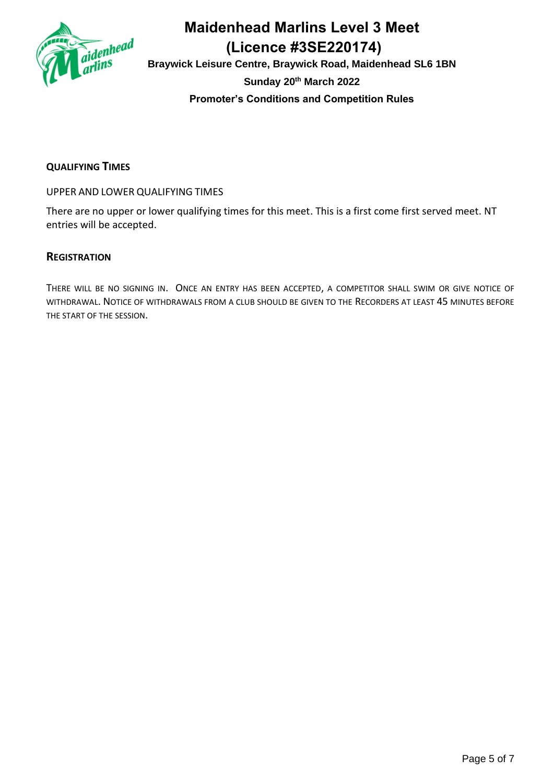

**Braywick Leisure Centre, Braywick Road, Maidenhead SL6 1BN Sunday 20th March 2022 Promoter's Conditions and Competition Rules**

### **QUALIFYING TIMES**

UPPER AND LOWER QUALIFYING TIMES

There are no upper or lower qualifying times for this meet. This is a first come first served meet. NT entries will be accepted.

### **REGISTRATION**

THERE WILL BE NO SIGNING IN. ONCE AN ENTRY HAS BEEN ACCEPTED, A COMPETITOR SHALL SWIM OR GIVE NOTICE OF WITHDRAWAL. NOTICE OF WITHDRAWALS FROM A CLUB SHOULD BE GIVEN TO THE RECORDERS AT LEAST 45 MINUTES BEFORE THE START OF THE SESSION.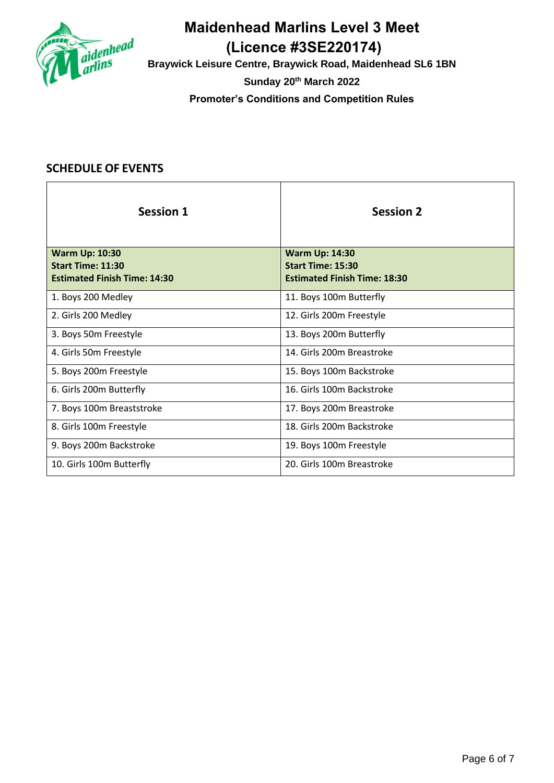

**Braywick Leisure Centre, Braywick Road, Maidenhead SL6 1BN Sunday 20th March 2022 Promoter's Conditions and Competition Rules**

| <b>Session 1</b>                                                                         | <b>Session 2</b>                                                                         |
|------------------------------------------------------------------------------------------|------------------------------------------------------------------------------------------|
| <b>Warm Up: 10:30</b><br><b>Start Time: 11:30</b><br><b>Estimated Finish Time: 14:30</b> | <b>Warm Up: 14:30</b><br><b>Start Time: 15:30</b><br><b>Estimated Finish Time: 18:30</b> |
| 1. Boys 200 Medley                                                                       | 11. Boys 100m Butterfly                                                                  |
| 2. Girls 200 Medley                                                                      | 12. Girls 200m Freestyle                                                                 |
| 3. Boys 50m Freestyle                                                                    | 13. Boys 200m Butterfly                                                                  |
| 4. Girls 50m Freestyle                                                                   | 14. Girls 200m Breastroke                                                                |
| 5. Boys 200m Freestyle                                                                   | 15. Boys 100m Backstroke                                                                 |
| 6. Girls 200m Butterfly                                                                  | 16. Girls 100m Backstroke                                                                |
| 7. Boys 100m Breaststroke                                                                | 17. Boys 200m Breastroke                                                                 |
| 8. Girls 100m Freestyle                                                                  | 18. Girls 200m Backstroke                                                                |
| 9. Boys 200m Backstroke                                                                  | 19. Boys 100m Freestyle                                                                  |
| 10. Girls 100m Butterfly                                                                 | 20. Girls 100m Breastroke                                                                |

### **SCHEDULE OF EVENTS**